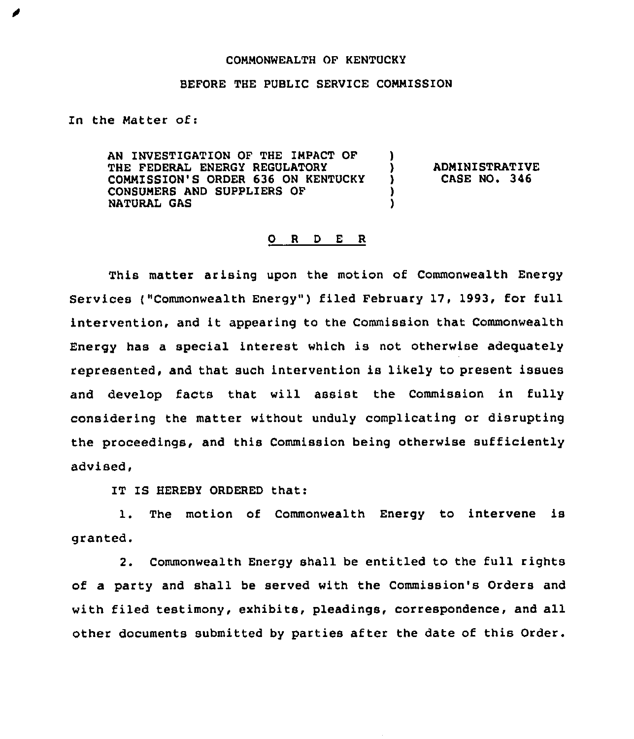## COMMONWEALTH OF KENTUCKY

## BEFORE THE PUBLIC SERVICE COMMISSION

In the Matter of:

AN INVESTIGATION OF THE IMPACT OF THE FEDERAL ENERGY REGULATORY COMMISSION'S ORDER 636 ON KENTUCKY CONSUMERS AND SUPPLIERS OF NATURAL GAS ) ) )

) ADMINISTRATIVE<br>
) CASE NO. 346 ) CASE NO. 346

## 0 <sup>R</sup> <sup>D</sup> <sup>E</sup> R

This matter arising upon the motion of Commonwealth Energy Services ("Commonwealth Energy") filed February 17, 1993, for full intervention, and it appearing to the Commission that Commonwealth Energy has a special interest which is not otherwise adequately represented, and that such intervention is likely to present issues and develop facts that will assist the Commission in fully considering the matter without unduly complicating or disrupting the proceedings, and this Commission being otherwise sufficiently advised,

IT IS HEREBY ORDERED that:

1. The motion of Commonwealth Energy to intervene is granted.

2. Commonwealth Energy shall be entitled to the full rights of a party and shall be served with the Commission's Orders and with filed testimony, exhibits, pleadings, correspondence, and all other documents submitted by parties after the date of this Order.